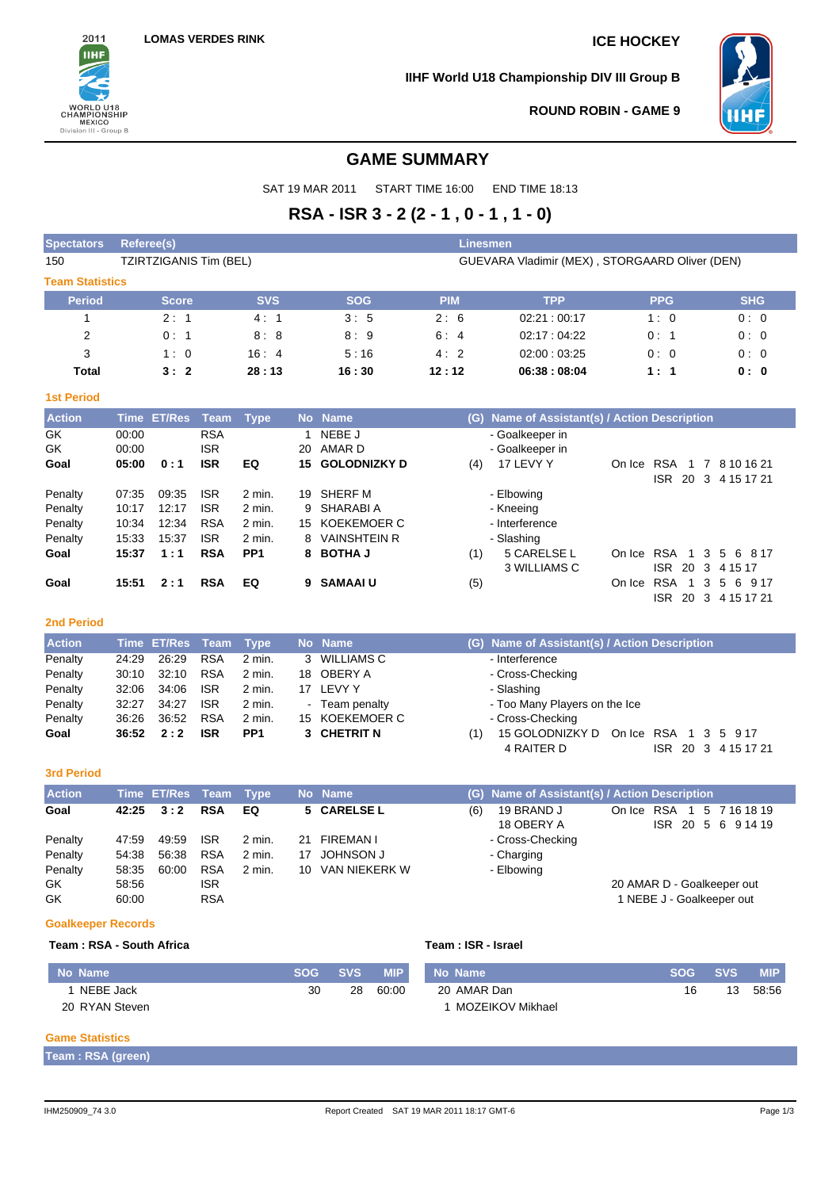

**IIHF World U18 Championship DIV III Group B**



ISR 20 3 4 15 17 21

**ROUND ROBIN - GAME 9**

# **GAME SUMMARY**

SAT 19 MAR 2011 START TIME 16:00 END TIME 18:13

# **RSA - ISR 3 - 2 (2 - 1 , 0 - 1 , 1 - 0)**

| <b>Spectators</b>      | <b>Referee(s)</b>      |             |    |            | <b>Linesmen</b> |                                                |                |            |
|------------------------|------------------------|-------------|----|------------|-----------------|------------------------------------------------|----------------|------------|
| 150                    | TZIRTZIGANIS Tim (BEL) |             |    |            |                 | GUEVARA Vladimir (MEX), STORGAARD Oliver (DEN) |                |            |
| <b>Team Statistics</b> |                        |             |    |            |                 |                                                |                |            |
| <b>Period</b>          | <b>Score</b>           | <b>SVS</b>  |    | <b>SOG</b> | <b>PIM</b>      | <b>TPP</b>                                     | <b>PPG</b>     | <b>SHG</b> |
|                        | 2:1                    | 4:1         |    | 3:5        | 2:6             | 02:21:00:17                                    | 1:0            | 0:0        |
| 2                      | 0:1                    | 8:8         |    | 8:9        | 6:4             | 02:17:04:22                                    | 0:1            | 0:0        |
| 3                      | 1:0                    | 16:4        |    | 5:16       | 4:2             | 02:00:03:25                                    | 0:0            | 0:0        |
| Total                  | 3:2                    | 28:13       |    | 16:30      | 12:12           | 06:38:08:04                                    | 1:1            | 0: 0       |
| <b>1st Period</b>      |                        |             |    |            |                 |                                                |                |            |
| <b>Action</b>          | Time ET/Res Team       | <b>Type</b> |    | No Name    | (G)             | Name of Assistant(s) / Action Description      |                |            |
| GK                     | 00:00                  | <b>RSA</b>  |    | NEBE J     |                 | - Goalkeeper in                                |                |            |
| GK                     | 00:00                  | <b>ISR</b>  | 20 | AMAR D     |                 | - Goalkeeper in                                | ______________ |            |

| 9N      | UU.UU |       | אסו        |                 | ZU AMAR D              | - Goalkeeper in    |            |                         |
|---------|-------|-------|------------|-----------------|------------------------|--------------------|------------|-------------------------|
| Goal    | 05:00 | 0:1   | <b>ISR</b> | EQ              | <b>15 GOLODNIZKY D</b> | 17 LEVY Y<br>(4)   | On Ice RSA | 1 7 8 10 16 21          |
|         |       |       |            |                 |                        |                    |            | ISR 20 3 4 15 17 21     |
| Penalty | 07:35 | 09:35 | <b>ISR</b> | 2 min.          | 19 SHERF M             | - Elbowing         |            |                         |
| Penalty | 10:17 | 12:17 | <b>ISR</b> | $2$ min.        | 9 SHARABIA             | - Kneeing          |            |                         |
| Penalty | 10:34 | 12:34 | <b>RSA</b> | $2$ min.        | 15 KOEKEMOER C         | - Interference     |            |                         |
| Penalty | 15:33 | 15:37 | <b>ISR</b> | 2 min.          | 8 VAINSHTEIN R         | - Slashing         |            |                         |
| Goal    | 15:37 | 1:1   | <b>RSA</b> | PP <sub>1</sub> | 8 BOTHA J              | 5 CARELSE L<br>(1) |            | On Ice RSA 1 3 5 6 8 17 |
|         |       |       |            |                 |                        | 3 WILLIAMS C       |            | ISR 20 3 4 15 17        |
| Goal    | 15:51 | 2:1   | <b>RSA</b> | EQ              | 9 SAMAAI U             | (5)                | On Ice RSA | 1 3 5 6 9 17            |

#### **2nd Period**

| <b>Action</b> |       | Time ET/Res Team  |            | <b>Type</b>      | No Name        | (G) Name of Assistant(s) / Action Description |
|---------------|-------|-------------------|------------|------------------|----------------|-----------------------------------------------|
| Penalty       | 24:29 | 26.29             | <b>RSA</b> | 2 min.           | 3 WILLIAMS C   | - Interference                                |
| Penalty       | 30:10 | 32:10             | <b>RSA</b> | 2 min.           | 18 OBERY A     | - Cross-Checking                              |
| Penalty       | 32:06 | 34.06             | <b>ISR</b> | 2 min.           | 17 LEVY Y      | - Slashing                                    |
| Penalty       | 32:27 | 34:27             | <b>ISR</b> | 2 min.           | - Team penalty | - Too Many Players on the Ice                 |
| Penalty       | 36:26 | 36:52             | <b>RSA</b> | $2 \text{ min.}$ | 15 KOEKEMOER C | - Cross-Checking                              |
| Goal          |       | $36:52 \quad 2:2$ | <b>ISR</b> | PP <sub>1</sub>  | 3 CHETRIT N    | 15 GOLODNIZKY D On Ice RSA 1 3 5 9 17         |
|               |       |                   |            |                  |                | 4 RAITER D<br>20 3 4 15 17 21<br>ISR.         |

#### **3rd Period**

| <b>Action</b> |       | Time ET/Res Team Type |            |        |    | No Name          |     |                          | (G) Name of Assistant(s) / Action Description      |  |
|---------------|-------|-----------------------|------------|--------|----|------------------|-----|--------------------------|----------------------------------------------------|--|
| Goal          |       | $42:25 \quad 3:2$     | <b>RSA</b> | EQ     |    | 5 CARELSE L      | (6) | 19 BRAND J<br>18 OBERY A | On Ice RSA 1<br>5 7 16 18 19<br>ISR 20 5 6 9 14 19 |  |
| Penalty       | 47:59 | 49:59                 | <b>ISR</b> | 2 min. |    | 21 FIREMAN I     |     | - Cross-Checking         |                                                    |  |
| Penalty       | 54:38 | 56:38                 | <b>RSA</b> | 2 min. | 17 | JOHNSON J        |     | - Charging               |                                                    |  |
| Penalty       | 58:35 | 60:00                 | <b>RSA</b> | 2 min. |    | 10 VAN NIEKERK W |     | - Elbowing               |                                                    |  |
| GK.           | 58:56 |                       | <b>ISR</b> |        |    |                  |     |                          | 20 AMAR D - Goalkeeper out                         |  |
| GK            | 60:00 |                       | <b>RSA</b> |        |    |                  |     |                          | 1 NEBE J - Goalkeeper out                          |  |

#### **Goalkeeper Records**

### **Team : RSA - South Africa Team : ISR - Israel**

| No Name        | <b>SOG</b> | SVS . | <b>MIP</b> | No Name          | <b>SOG</b> | SVS. | <b>MIP</b> |
|----------------|------------|-------|------------|------------------|------------|------|------------|
| NEBE Jack      | 30         | 28    | 60:00      | 20 AMAR Dan      | 16         | 13   | 58:56      |
| 20 RYAN Steven |            |       |            | MOZEIKOV Mikhael |            |      |            |

#### **Game Statistics**

**Team : RSA (green)**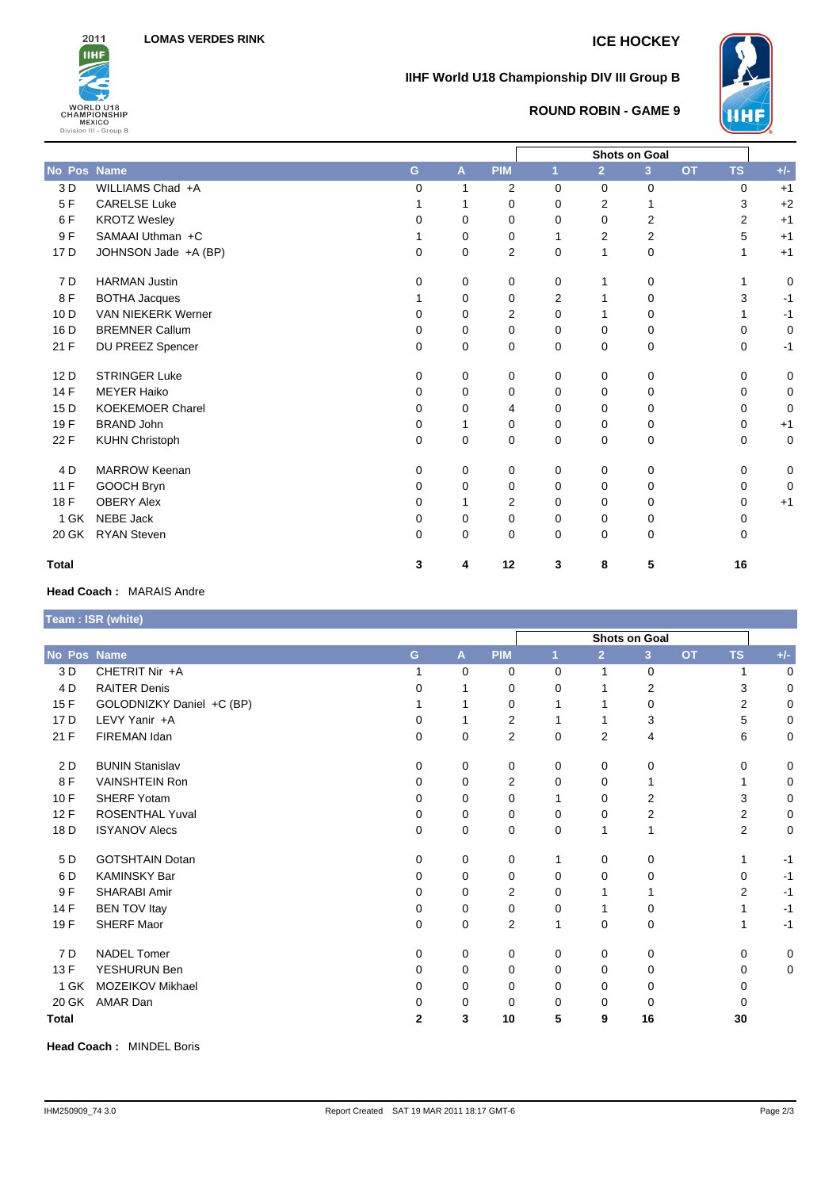

## **IIHF World U18 Championship DIV III Group B**



## **ROUND ROBIN - GAME 9**

| No Pos Name     |                           | G.       | A        | <b>PIM</b>     | $\mathbf{1}$ | $\overline{2}$ | 3           | <b>OT</b> | <b>TS</b>      | $+/-$       |
|-----------------|---------------------------|----------|----------|----------------|--------------|----------------|-------------|-----------|----------------|-------------|
| 3 D             | WILLIAMS Chad +A          | 0        | 1        | 2              | $\Omega$     | $\Omega$       | 0           |           | $\Omega$       | $+1$        |
| 5F              | <b>CARELSE Luke</b>       |          | 1        | 0              | $\Omega$     | 2              | 1           |           | 3              | $+2$        |
| 6F              | <b>KROTZ Wesley</b>       | 0        | 0        | 0              | $\Omega$     | 0              | 2           |           | $\overline{2}$ | $+1$        |
| 9F              | SAMAAI Uthman +C          |          | 0        | 0              | 1            | $\overline{2}$ | 2           |           | 5              | $+1$        |
| 17 D            | JOHNSON Jade +A (BP)      | 0        | 0        | $\overline{2}$ | $\Omega$     | 1              | 0           |           | 1              | $+1$        |
| 7 D             | <b>HARMAN Justin</b>      | $\Omega$ | 0        | 0              | 0            | 1              | 0           |           |                | 0           |
| 8F              | <b>BOTHA Jacques</b>      |          | 0        | 0              | 2            |                | 0           |           | 3              | $-1$        |
| 10 <sub>D</sub> | <b>VAN NIEKERK Werner</b> | 0        | 0        | 2              | $\Omega$     |                | 0           |           |                | $-1$        |
| 16 D            | <b>BREMNER Callum</b>     | $\Omega$ | $\Omega$ | $\mathbf 0$    | $\Omega$     | $\Omega$       | $\mathbf 0$ |           | <sup>0</sup>   | $\mathbf 0$ |
| 21 F            | DU PREEZ Spencer          | 0        | 0        | $\mathbf 0$    | $\mathbf 0$  | 0              | 0           |           | 0              | $-1$        |
| 12D             | <b>STRINGER Luke</b>      | 0        | 0        | 0              | 0            | $\Omega$       | 0           |           | 0              | $\mathbf 0$ |
| 14 F            | <b>MEYER Haiko</b>        | 0        | 0        | 0              | 0            | 0              | 0           |           | 0              | $\mathbf 0$ |
| 15 D            | <b>KOEKEMOER Charel</b>   | 0        | 0        | 4              | 0            | 0              | 0           |           | 0              | 0           |
| 19F             | <b>BRAND John</b>         | 0        |          | 0              | 0            | 0              | 0           |           | 0              | $+1$        |
| 22 F            | <b>KUHN Christoph</b>     | 0        | 0        | 0              | 0            | 0              | 0           |           | $\Omega$       | 0           |
| 4 D             | <b>MARROW Keenan</b>      | $\Omega$ | 0        | 0              | 0            | $\Omega$       | 0           |           | 0              | 0           |
| 11 F            | GOOCH Bryn                | $\Omega$ | $\Omega$ | 0              | $\Omega$     | $\Omega$       | 0           |           | 0              | 0           |
| 18 F            | <b>OBERY Alex</b>         | 0        |          | 2              | $\Omega$     | $\Omega$       | 0           |           | 0              | $+1$        |
| 1 GK            | <b>NEBE Jack</b>          | 0        | 0        | 0              | 0            | 0              | 0           |           | 0              |             |
| 20 GK           | <b>RYAN Steven</b>        | $\Omega$ | 0        | 0              | 0            | 0              | 0           |           | 0              |             |
| <b>Total</b>    |                           | 3        | 4        | 12             | 3            | 8              | 5           |           | 16             |             |

### **Head Coach :** MARAIS Andre

|                 | Team : ISR (white)        |          |          |                |          |                |                |           |                |       |
|-----------------|---------------------------|----------|----------|----------------|----------|----------------|----------------|-----------|----------------|-------|
|                 |                           |          |          |                |          |                |                |           |                |       |
| No Pos Name     |                           | G        | A        | <b>PIM</b>     |          | $\overline{2}$ | 3 <sup>1</sup> | <b>OT</b> | <b>TS</b>      | $+/-$ |
| 3 D             | CHETRIT Nir +A            |          | $\Omega$ | 0              | 0        | 1              | 0              |           |                | 0     |
| 4 D             | <b>RAITER Denis</b>       | 0        |          | 0              | 0        |                | 2              |           | 3              | 0     |
| 15F             | GOLODNIZKY Daniel +C (BP) |          |          | 0              |          |                | 0              |           | $\overline{2}$ | 0     |
| 17 <sub>D</sub> | LEVY Yanir +A             | 0        |          | $\overline{2}$ |          |                | 3              |           | 5              | 0     |
| 21 F            | FIREMAN Idan              | 0        | 0        | $\overline{2}$ | 0        | $\overline{2}$ | 4              |           | 6              | 0     |
| 2D              | <b>BUNIN Stanislav</b>    | $\Omega$ | 0        | 0              | 0        | $\Omega$       | 0              |           | $\Omega$       | 0     |
| 8F              | <b>VAINSHTEIN Ron</b>     | $\Omega$ | 0        | $\overline{2}$ | 0        | 0              |                |           |                | 0     |
| 10F             | <b>SHERF Yotam</b>        | $\Omega$ | 0        | 0              |          | 0              | 2              |           | 3              | 0     |
| 12F             | <b>ROSENTHAL Yuval</b>    | $\Omega$ | 0        | 0              | 0        | $\mathbf 0$    | 2              |           | 2              | 0     |
| 18 D            | <b>ISYANOV Alecs</b>      | $\Omega$ | 0        | 0              | $\Omega$ | 1              | 1              |           | $\overline{2}$ | 0     |
| 5 D             | <b>GOTSHTAIN Dotan</b>    | 0        | 0        | 0              |          | 0              | 0              |           |                | $-1$  |
| 6 D             | <b>KAMINSKY Bar</b>       | $\Omega$ | 0        | 0              | 0        | 0              | 0              |           | $\Omega$       | $-1$  |
| 9 F             | SHARABI Amir              | $\Omega$ | 0        | 2              | 0        |                |                |           | 2              | $-1$  |
| 14 F            | <b>BEN TOV Itay</b>       | 0        | 0        | 0              | 0        |                | 0              |           | 1              | $-1$  |
| 19 F            | <b>SHERF Maor</b>         | 0        | 0        | 2              | 1        | 0              | 0              |           | 1              | $-1$  |
| 7 D             | <b>NADEL Tomer</b>        | 0        | 0        | 0              | 0        | 0              | 0              |           | 0              | 0     |
| 13 F            | YESHURUN Ben              | $\Omega$ | 0        | 0              | 0        | 0              | 0              |           | $\Omega$       | 0     |
| 1 GK            | MOZEIKOV Mikhael          | $\Omega$ | 0        | 0              | 0        | 0              | 0              |           | 0              |       |
| 20 GK           | AMAR Dan                  | 0        | 0        | 0              | 0        | 0              | 0              |           | 0              |       |
| <b>Total</b>    |                           | 2        | 3        | 10             | 5        | 9              | 16             |           | 30             |       |

**Head Coach :** MINDEL Boris